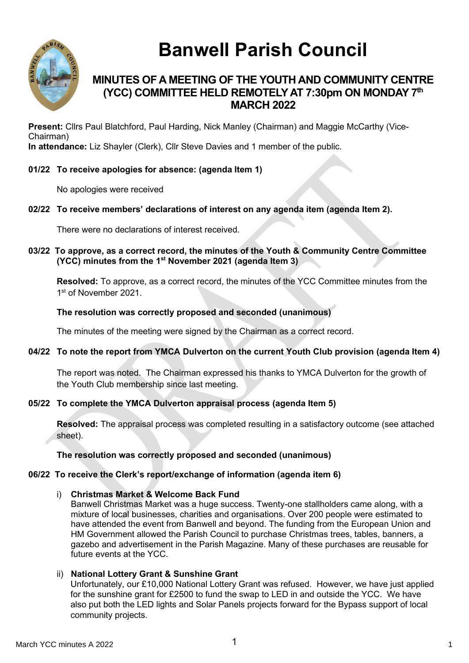

# **Banwell Parish Council**

## **MINUTES OF A MEETING OF THE YOUTH AND COMMUNITY CENTRE (YCC) COMMITTEE HELD REMOTELY AT 7:30pm ON MONDAY 7 th MARCH 2022**

**Present:** Cllrs Paul Blatchford, Paul Harding, Nick Manley (Chairman) and Maggie McCarthy (Vice-Chairman) **In attendance:** Liz Shayler (Clerk), Cllr Steve Davies and 1 member of the public.

## **01/22 To receive apologies for absence: (agenda Item 1)**

No apologies were received

## **02/22 To receive members' declarations of interest on any agenda item (agenda Item 2).**

There were no declarations of interest received.

## **03/22 To approve, as a correct record, the minutes of the Youth & Community Centre Committee (YCC) minutes from the 1 st November 2021 (agenda Item 3)**

**Resolved:** To approve, as a correct record, the minutes of the YCC Committee minutes from the 1st of November 2021.

## **The resolution was correctly proposed and seconded (unanimous)**

The minutes of the meeting were signed by the Chairman as a correct record.

#### **04/22 To note the report from YMCA Dulverton on the current Youth Club provision (agenda Item 4)**

The report was noted. The Chairman expressed his thanks to YMCA Dulverton for the growth of the Youth Club membership since last meeting.

#### **05/22 To complete the YMCA Dulverton appraisal process (agenda Item 5)**

**Resolved:** The appraisal process was completed resulting in a satisfactory outcome (see attached sheet).

#### **The resolution was correctly proposed and seconded (unanimous)**

#### **06/22 To receive the Clerk's report/exchange of information (agenda item 6)**

i) **Christmas Market & Welcome Back Fund**

Banwell Christmas Market was a huge success. Twenty-one stallholders came along, with a mixture of local businesses, charities and organisations. Over 200 people were estimated to have attended the event from Banwell and beyond. The funding from the European Union and HM Government allowed the Parish Council to purchase Christmas trees, tables, banners, a gazebo and advertisement in the Parish Magazine. Many of these purchases are reusable for future events at the YCC.

## ii) **National Lottery Grant & Sunshine Grant**

Unfortunately, our £10,000 National Lottery Grant was refused. However, we have just applied for the sunshine grant for £2500 to fund the swap to LED in and outside the YCC. We have also put both the LED lights and Solar Panels projects forward for the Bypass support of local community projects.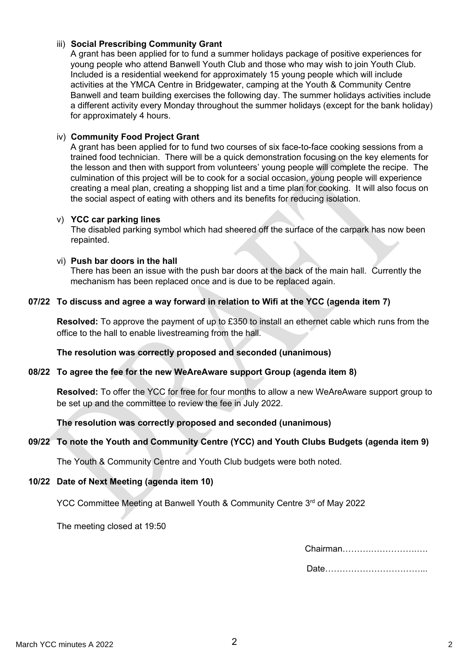## iii) **Social Prescribing Community Grant**

A grant has been applied for to fund a summer holidays package of positive experiences for young people who attend Banwell Youth Club and those who may wish to join Youth Club. Included is a residential weekend for approximately 15 young people which will include activities at the YMCA Centre in Bridgewater, camping at the Youth & Community Centre Banwell and team building exercises the following day. The summer holidays activities include a different activity every Monday throughout the summer holidays (except for the bank holiday) for approximately 4 hours.

## iv) **Community Food Project Grant**

A grant has been applied for to fund two courses of six face-to-face cooking sessions from a trained food technician. There will be a quick demonstration focusing on the key elements for the lesson and then with support from volunteers' young people will complete the recipe. The culmination of this project will be to cook for a social occasion, young people will experience creating a meal plan, creating a shopping list and a time plan for cooking. It will also focus on the social aspect of eating with others and its benefits for reducing isolation.

#### v) **YCC car parking lines**

The disabled parking symbol which had sheered off the surface of the carpark has now been repainted.

#### vi) **Push bar doors in the hall**

There has been an issue with the push bar doors at the back of the main hall. Currently the mechanism has been replaced once and is due to be replaced again.

## **07/22 To discuss and agree a way forward in relation to Wifi at the YCC (agenda item 7)**

**Resolved:** To approve the payment of up to £350 to install an ethernet cable which runs from the office to the hall to enable livestreaming from the hall.

## **The resolution was correctly proposed and seconded (unanimous)**

## **08/22 To agree the fee for the new WeAreAware support Group (agenda item 8)**

**Resolved:** To offer the YCC for free for four months to allow a new WeAreAware support group to be set up and the committee to review the fee in July 2022.

## **The resolution was correctly proposed and seconded (unanimous)**

## **09/22 To note the Youth and Community Centre (YCC) and Youth Clubs Budgets (agenda item 9)**

The Youth & Community Centre and Youth Club budgets were both noted.

#### **10/22 Date of Next Meeting (agenda item 10)**

YCC Committee Meeting at Banwell Youth & Community Centre 3<sup>rd</sup> of May 2022

The meeting closed at 19:50

| Chairman |
|----------|
|          |

|--|--|--|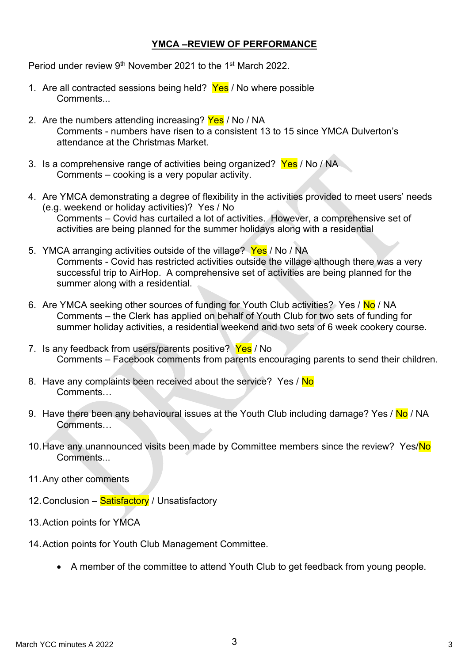## **YMCA –REVIEW OF PERFORMANCE**

Period under review 9<sup>th</sup> November 2021 to the 1<sup>st</sup> March 2022.

- 1. Are all contracted sessions being held? Yes / No where possible Comments...
- 2. Are the numbers attending increasing? Yes / No / NA Comments - numbers have risen to a consistent 13 to 15 since YMCA Dulverton's attendance at the Christmas Market.
- 3. Is a comprehensive range of activities being organized? Yes / No / NA Comments – cooking is a very popular activity.
- 4. Are YMCA demonstrating a degree of flexibility in the activities provided to meet users' needs (e.g. weekend or holiday activities)? Yes / No Comments – Covid has curtailed a lot of activities. However, a comprehensive set of activities are being planned for the summer holidays along with a residential
- 5. YMCA arranging activities outside of the village? Yes / No / NA Comments - Covid has restricted activities outside the village although there was a very successful trip to AirHop. A comprehensive set of activities are being planned for the summer along with a residential.
- 6. Are YMCA seeking other sources of funding for Youth Club activities? Yes / No / NA Comments – the Clerk has applied on behalf of Youth Club for two sets of funding for summer holiday activities, a residential weekend and two sets of 6 week cookery course.
- 7. Is any feedback from users/parents positive? Yes / No Comments – Facebook comments from parents encouraging parents to send their children.
- 8. Have any complaints been received about the service? Yes / No Comments…
- 9. Have there been any behavioural issues at the Youth Club including damage? Yes / No / NA **Comments**
- 10. Have any unannounced visits been made by Committee members since the review? Yes/No **Comments**
- 11.Any other comments
- 12. Conclusion Satisfactory / Unsatisfactory
- 13.Action points for YMCA
- 14.Action points for Youth Club Management Committee.
	- A member of the committee to attend Youth Club to get feedback from young people.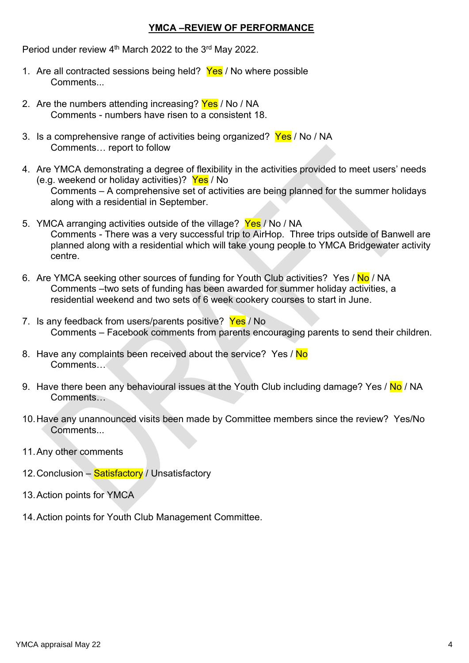## **YMCA –REVIEW OF PERFORMANCE**

Period under review 4<sup>th</sup> March 2022 to the 3<sup>rd</sup> May 2022.

- 1. Are all contracted sessions being held? Yes / No where possible Comments...
- 2. Are the numbers attending increasing? Yes / No / NA Comments - numbers have risen to a consistent 18.
- 3. Is a comprehensive range of activities being organized? Yes / No / NA Comments… report to follow
- 4. Are YMCA demonstrating a degree of flexibility in the activities provided to meet users' needs (e.g. weekend or holiday activities)? Yes / No Comments – A comprehensive set of activities are being planned for the summer holidays along with a residential in September.
- 5. YMCA arranging activities outside of the village? Yes / No / NA Comments - There was a very successful trip to AirHop. Three trips outside of Banwell are planned along with a residential which will take young people to YMCA Bridgewater activity centre.
- 6. Are YMCA seeking other sources of funding for Youth Club activities? Yes / No / NA Comments –two sets of funding has been awarded for summer holiday activities, a residential weekend and two sets of 6 week cookery courses to start in June.
- 7. Is any feedback from users/parents positive? Yes / No Comments – Facebook comments from parents encouraging parents to send their children.
- 8. Have any complaints been received about the service? Yes / No Comments…
- 9. Have there been any behavioural issues at the Youth Club including damage? Yes / No / NA Comments…
- 10.Have any unannounced visits been made by Committee members since the review? Yes/No Comments...
- 11.Any other comments
- 12. Conclusion Satisfactory / Unsatisfactory
- 13.Action points for YMCA
- 14.Action points for Youth Club Management Committee.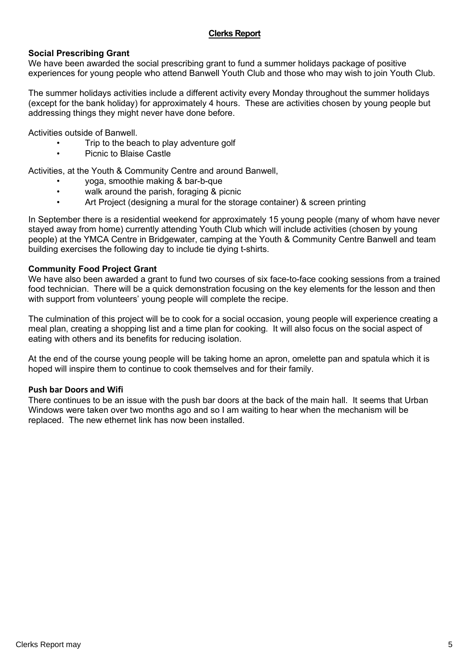## **Clerks Report**

## **Social Prescribing Grant**

We have been awarded the social prescribing grant to fund a summer holidays package of positive experiences for young people who attend Banwell Youth Club and those who may wish to join Youth Club.

The summer holidays activities include a different activity every Monday throughout the summer holidays (except for the bank holiday) for approximately 4 hours. These are activities chosen by young people but addressing things they might never have done before.

Activities outside of Banwell.

- Trip to the beach to play adventure golf
- Picnic to Blaise Castle

Activities, at the Youth & Community Centre and around Banwell,

- yoga, smoothie making & bar-b-que
- walk around the parish, foraging & picnic
- Art Project (designing a mural for the storage container) & screen printing

In September there is a residential weekend for approximately 15 young people (many of whom have never stayed away from home) currently attending Youth Club which will include activities (chosen by young people) at the YMCA Centre in Bridgewater, camping at the Youth & Community Centre Banwell and team building exercises the following day to include tie dying t-shirts.

#### **Community Food Project Grant**

We have also been awarded a grant to fund two courses of six face-to-face cooking sessions from a trained food technician. There will be a quick demonstration focusing on the key elements for the lesson and then with support from volunteers' young people will complete the recipe.

The culmination of this project will be to cook for a social occasion, young people will experience creating a meal plan, creating a shopping list and a time plan for cooking. It will also focus on the social aspect of eating with others and its benefits for reducing isolation.

At the end of the course young people will be taking home an apron, omelette pan and spatula which it is hoped will inspire them to continue to cook themselves and for their family.

#### **Push bar Doors and Wifi**

There continues to be an issue with the push bar doors at the back of the main hall. It seems that Urban Windows were taken over two months ago and so I am waiting to hear when the mechanism will be replaced. The new ethernet link has now been installed.